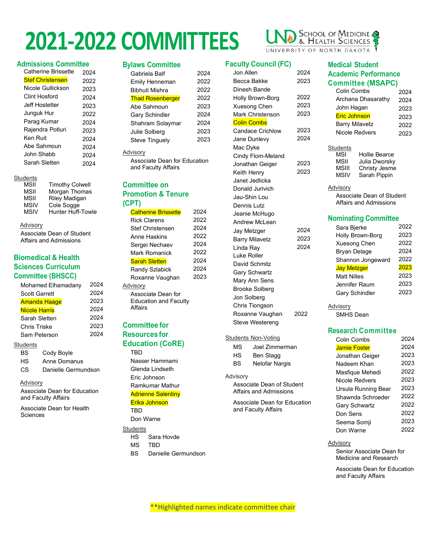### **Admissions Committee**

| <b>Catherine Brissette</b> | 2024 |
|----------------------------|------|
| <b>Stef Christensen</b>    | 2022 |
| Nicole Gullickson          | 2023 |
| Clint Hosford              | 2024 |
| Jeff Hostetter             | 2023 |
| Junguk Hur                 | 2022 |
| Parag Kumar                | 2024 |
| Rajendra Potluri           | 2023 |
| Ken Ruit                   | 2024 |
| Abe Sahmoun                | 2024 |
| John Shabb                 | 2024 |
| Sarah Sletten              | 2024 |

### **Students**

| MSII        | <b>Timothy Colwell</b>   |
|-------------|--------------------------|
| MSII        | Morgan Thomas            |
| MSII        | Riley Madigan            |
| MSIV        | Cole Sogge               |
| <b>MSIV</b> | <b>Hunter Huff-Towle</b> |
|             |                          |

### **Advisory**

Associate Dean of Student Affairs and Admissions

### **Biomedical & Health Sciences Curriculum Committee (BHSCC)**

| Mohamed Elhamadany   | 2024 |
|----------------------|------|
| <b>Scott Garrett</b> | 2024 |
| <b>Amanda Haage</b>  | 2023 |
| <b>Nicole Harris</b> | 2024 |
| Sarah Sletten        | 2024 |
| <b>Chris Triske</b>  | 2023 |
| Sam Peterson         | 2024 |
|                      |      |

### **Students**

| BS. | Cody Boyle          |
|-----|---------------------|
| HS  | Anne Domanus        |
| CS. | Danielle Germundson |

### **Advisory**

Associate Dean for Education and Faculty Affairs

Associate Dean for Health **Sciences** 

### **Bylaws Committee**

| Gabriela Balf           | 2024 |
|-------------------------|------|
| Emily Henneman          | 2022 |
| Bibhuti Mishra          | 2022 |
| <b>Thad Rosenberger</b> | 2022 |
| Abe Sahmoun             | 2023 |
| <b>Gary Schindler</b>   | 2024 |
| Shahram Solaymar        | 2024 |
| Julie Solberg           | 2023 |
| <b>Steve Tinguely</b>   | 2023 |

#### Advisory

Associate Dean for Education and Faculty Affairs

### **Committee on Promotion & Tenure (CPT)**

| <b>Catherine Brissette</b>   | 2024 |
|------------------------------|------|
| <b>Rick Clarens</b>          | 2022 |
| <b>Stef Christensen</b>      | 2024 |
| Anne Haskins                 | 2022 |
| Sergei Nechaev               | 2024 |
| Mark Romanick                | 2022 |
| <b>Sarah Sletten</b>         | 2024 |
| Randy Szlabick               | 2024 |
| Roxanne Vaughan              | 2023 |
| Advisory                     |      |
| Associate Dean for           |      |
| <b>Education and Faculty</b> |      |
| Affairs                      |      |

### **Committee for Resources for Education (CoRE)**

TBD Nasser Hammami Glenda Lindseth Eric Johnson Ramkumar Mathur **Adrienne Salentiny** Erika Johnson TBD

Don Warne

### **Students**

- HS Sara Hovde
- MS TBD
- BS Danielle Germundson

### SCHOOL OF MEDICINE UNIVERSITY OF NORTH DAKOTA

**Medical Student**

Students<br>MSI

**Advisory** 

**Academic Performance Committee (MSAPC)**

> Colin Combs 2024 Archana Dhasarathy 2024 John Hagan 2023 Eric Johnson 2023 Barry Milavetz 2022 Nicole Redvers 2023

### **Faculty Council (FC)**

| Jon Allen               | 2024 |
|-------------------------|------|
| Becca Bakke             | 2023 |
| Dinesh Bande            |      |
| Holly Brown-Borg        | 2022 |
| <b>Xuesong Chen</b>     | 2023 |
| <b>Mark Christenson</b> | 2023 |
| <b>Colin Combs</b>      |      |
| <b>Candace Crichlow</b> | 2023 |
| Jane Dunlevy            | 2024 |
| Mac Dyke                |      |
| Cindy Flom-Meland       |      |
| Jonathan Geiger         | 2023 |
| Keith Henry             | 2023 |
| Janet Jedlicka          |      |
| Donald Jurivich         |      |
| Jau-Shin Lou            |      |
| Dennis Lutz             |      |
| Jeanie McHugo           |      |
| Andrew McLean           |      |
| Jay Metzger             | 2024 |
| <b>Barry Milavetz</b>   | 2023 |
| Linda Ray               | 2024 |
| Luke Roller             |      |
| David Schmitz           |      |
| <b>Gary Schwartz</b>    |      |
| Mary Ann Sens           |      |
| <b>Brooke Solberg</b>   |      |
| Jon Solberg             |      |
| Chris Tiongson          |      |
| Roxanne Vaughan         | 2022 |
| <b>Steve Westereng</b>  |      |
|                         |      |

### Students Non-Voting

| МS | Joel Zimmerman |
|----|----------------|
| нs | Ben Stagg      |
| BS | Nelofar Nargis |

#### Advisory

Associate Dean of Student Affairs and Admissions

Associate Dean for Education and Faculty Affairs

#### Associate Dean of Student Affairs and Admissions

MSI Hollie Bearce<br>MSII Julia Dworsky MSII Julia Dworsky<br>MSIII Christy Jesme MSIII Christy Jesme<br>MSIV Sarah Pippin Sarah Pippin

### **Nominating Committee**

| Sara Bjerke           | 2022 |
|-----------------------|------|
| Holly Brown-Borg      | 2023 |
| <b>Xuesong Chen</b>   | 2022 |
| Bryan Delage          | 2024 |
| Shannon Jongeward     | 2022 |
| <b>Jay Metzger</b>    | 2023 |
| <b>Matt Nilles</b>    | 2023 |
| Jennifer Raum         | 2023 |
| <b>Gary Schindler</b> | 2023 |
|                       |      |

### **Advisory** SMHS Dean

### **Research Committee**

| Colin Combs          | 2024 |
|----------------------|------|
| <b>Jamie Foster</b>  | 2024 |
| Jonathan Geiger      | 2023 |
| Nadeem Khan          | 2023 |
| Masfique Mehedi      | 2022 |
| Nicole Redvers       | 2023 |
| Ursula Running Bear  | 2023 |
| Shawnda Schroeder    | 2022 |
| <b>Gary Schwartz</b> | 2022 |
| Don Sens             | 2022 |
| Seema Somji          | 2023 |
| Don Warne            | 2022 |
|                      |      |

### Advisory

Senior Associate Dean for Medicine and Research

Associate Dean for Education and Faculty Affairs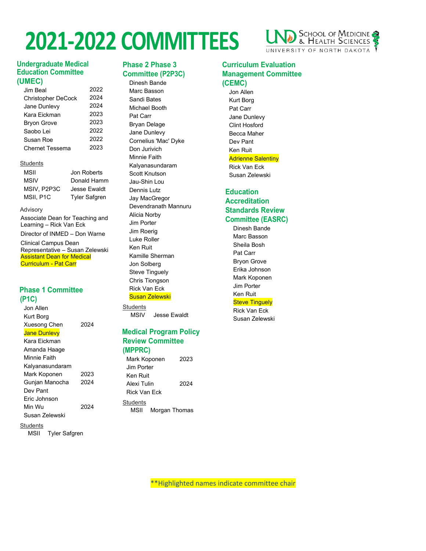

### **Undergraduate Medical Education Committee (UMEC)**

| Jim Beal                  | 2022 |
|---------------------------|------|
| <b>Christopher DeCock</b> | 2024 |
| Jane Dunlevy              | 2024 |
| Kara Fickman              | 2023 |
| <b>Bryon Grove</b>        | 2023 |
| Saobo I ei                | 2022 |
| Susan Roe                 | 2022 |
| Chernet Tessema           | 2023 |
|                           |      |

### **Students**

| Jon Roberts          |
|----------------------|
| Donald Hamm          |
| <b>Jesse Ewaldt</b>  |
| <b>Tyler Safgren</b> |
|                      |

### Advisory

Associate Dean for Teaching and Learning – Rick Van Eck Director of INMED – Don Warne Clinical Campus Dean Representative – Susan Zelewski Assistant Dean for Medical

### **Phase 1 Committee (P1C)**

Curriculum - Pat Carr

Jon Allen Kurt Borg Xuesong Chen 2024 **Jane Dunlevy** Kara Eickman Amanda Haage Minnie Faith Kalyanasundaram Mark Koponen 2023 Gunjan Manocha 2024 Dev Pant Eric Johnson Min Wu 2024 Susan Zelewski

MSII Tyler Safgren

**Students** 

### **Phase 2 Phase 3 Committee (P2P3C)**

Dinesh Bande Marc Basson Sandi Bates Michael Booth Pat Carr Bryan Delage Jane Dunlevy Cornelius 'Mac' Dyke Don Jurivich Minnie Faith Kalyanasundaram Scott Knutson Jau-Shin Lou Dennis Lutz Jay MacGregor Devendranath Mannuru Alicia Norby Jim Porter Jim Roerig Luke Roller Ken Ruit Kamille Sherman Jon Solberg Steve Tinguely Chris Tiongson Rick Van Eck Susan Zelewski

**Students** MSIV Jesse Ewaldt

### **Medical Program Policy Review Committee (MPPRC)**

Mark Koponen 2023 Jim Porter Ken Ruit Alexi Tulin 2024 Rick Van Eck **Students** MSII Morgan Thomas

### **Curriculum Evaluation Management Committee (CEMC)**

Jon Allen Kurt Borg Pat Carr Jane Dunlevy Clint Hosford Becca Maher Dev Pant Ken Ruit **Adrienne Salentiny** Rick Van Eck Susan Zelewski

### **Education Accreditation Standards Review Committee (EASRC)**

Dinesh Bande Marc Basson Sheila Bosh Pat Carr Bryon Grove Erika Johnson Mark Koponen Jim Porter Ken Ruit **Steve Tinguely** 

### Rick Van Eck

Susan Zelewski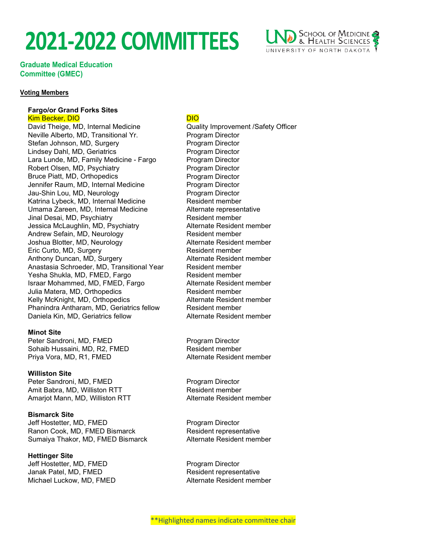

**Graduate Medical Education Committee (GMEC)**

### **Voting Members**

### **Fargo/or Grand Forks Sites**

**Kim Becker, DIO** DIO DIO DIO DIO David Theige, MD, Internal Medicine Quality Improvement /Safety Officer Neville Alberto, MD, Transitional Yr. Program Director Stefan Johnson, MD, Surgery **Program Director** Lindsey Dahl, MD, Geriatrics **Program Director** Lara Lunde, MD, Family Medicine - Fargo Program Director Robert Olsen, MD, Psychiatry **Program Director** Bruce Piatt, MD, Orthopedics **Program Director** Jennifer Raum, MD, Internal Medicine Program Director Jau-Shin Lou, MD, Neurology **Program Director** Katrina Lybeck, MD, Internal Medicine **Resident member** Umama Zareen, MD, Internal Medicine Alternate representative Jinal Desai, MD, Psychiatry Jessica McLaughlin, MD, Psychiatry **Alternate Resident member** Andrew Sefain, MD, Neurology Resident member Joshua Blotter, MD, Neurology **Alternate Resident member** Eric Curto, MD, Surgery **Resident member** Resident member Anthony Duncan, MD, Surgery Alternate Resident member Anastasia Schroeder, MD, Transitional Year Resident member Yesha Shukla, MD, FMED, Fargo Resident member<br>Israar Mohammed, MD, FMED, Fargo Alternate Resident member Israar Mohammed, MD, FMED, Fargo Julia Matera, MD, Orthopedics **Resident member** Kelly McKnight, MD, Orthopedics **Alternate Resident member** Phanindra Antharam, MD, Geriatrics fellow Resident member Daniela Kin, MD, Geriatrics fellow **Alternate Resident member** 

### **Minot Site**

Peter Sandroni, MD, FMED Program Director Sohaib Hussaini, MD, R2, FMED Resident member Priya Vora, MD, R1, FMED Alternate Resident member

### **Williston Site**

Peter Sandroni, MD, FMED Program Director Amit Babra, MD, Williston RTT Resident member Amarjot Mann, MD, Williston RTT Alternate Resident member

**Bismarck Site** Jeff Hostetter, MD, FMED Program Director Ranon Cook, MD, FMED Bismarck **Resident representative** Sumaiya Thakor, MD, FMED Bismarck Alternate Resident member

**Hettinger Site** Jeff Hostetter, MD, FMED Program Director Janak Patel, MD, FMED Resident representative Michael Luckow, MD, FMED Alternate Resident member